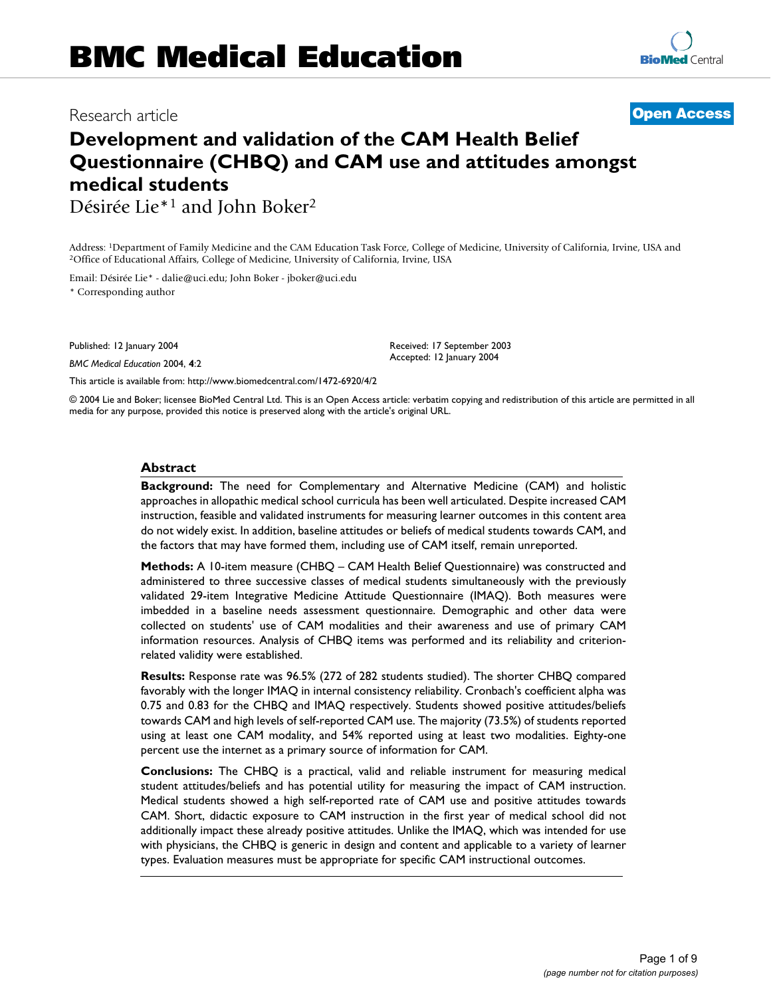# **Development and validation of the CAM Health Belief Questionnaire (CHBQ) and CAM use and attitudes amongst medical students**

Désirée Lie\*1 and John Boker2

Address: <sup>1</sup>Department of Family Medicine and the CAM Education Task Force, College of Medicine, University of California, Irvine, USA and <sup>2</sup>Office of Educational Affairs, College of Medicine, University of California, Ir

Email: Désirée Lie\* - dalie@uci.edu; John Boker - jboker@uci.edu \* Corresponding author

Published: 12 January 2004

*BMC Medical Education* 2004, **4**:2

[This article is available from: http://www.biomedcentral.com/1472-6920/4/2](http://www.biomedcentral.com/1472-6920/4/2)

© 2004 Lie and Boker; licensee BioMed Central Ltd. This is an Open Access article: verbatim copying and redistribution of this article are permitted in all media for any purpose, provided this notice is preserved along with the article's original URL.

#### **Abstract**

**Background:** The need for Complementary and Alternative Medicine (CAM) and holistic approaches in allopathic medical school curricula has been well articulated. Despite increased CAM instruction, feasible and validated instruments for measuring learner outcomes in this content area do not widely exist. In addition, baseline attitudes or beliefs of medical students towards CAM, and the factors that may have formed them, including use of CAM itself, remain unreported.

**Methods:** A 10-item measure (CHBQ – CAM Health Belief Questionnaire) was constructed and administered to three successive classes of medical students simultaneously with the previously validated 29-item Integrative Medicine Attitude Questionnaire (IMAQ). Both measures were imbedded in a baseline needs assessment questionnaire. Demographic and other data were collected on students' use of CAM modalities and their awareness and use of primary CAM information resources. Analysis of CHBQ items was performed and its reliability and criterionrelated validity were established.

**Results:** Response rate was 96.5% (272 of 282 students studied). The shorter CHBQ compared favorably with the longer IMAQ in internal consistency reliability. Cronbach's coefficient alpha was 0.75 and 0.83 for the CHBQ and IMAQ respectively. Students showed positive attitudes/beliefs towards CAM and high levels of self-reported CAM use. The majority (73.5%) of students reported using at least one CAM modality, and 54% reported using at least two modalities. Eighty-one percent use the internet as a primary source of information for CAM.

**Conclusions:** The CHBQ is a practical, valid and reliable instrument for measuring medical student attitudes/beliefs and has potential utility for measuring the impact of CAM instruction. Medical students showed a high self-reported rate of CAM use and positive attitudes towards CAM. Short, didactic exposure to CAM instruction in the first year of medical school did not additionally impact these already positive attitudes. Unlike the IMAQ, which was intended for use with physicians, the CHBQ is generic in design and content and applicable to a variety of learner types. Evaluation measures must be appropriate for specific CAM instructional outcomes.



Received: 17 September 2003 Accepted: 12 January 2004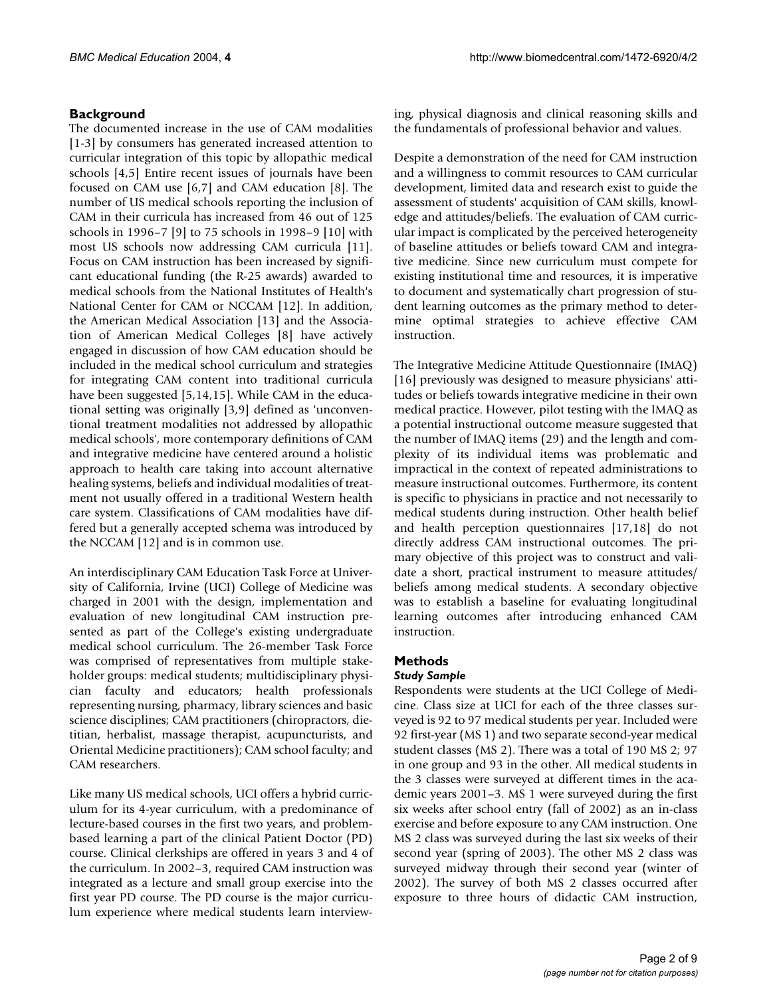# **Background**

The documented increase in the use of CAM modalities [1-3] by consumers has generated increased attention to curricular integration of this topic by allopathic medical schools [4,5] Entire recent issues of journals have been focused on CAM use [6,7] and CAM education [8]. The number of US medical schools reporting the inclusion of CAM in their curricula has increased from 46 out of 125 schools in 1996–7 [9] to 75 schools in 1998–9 [10] with most US schools now addressing CAM curricula [11]. Focus on CAM instruction has been increased by significant educational funding (the R-25 awards) awarded to medical schools from the National Institutes of Health's National Center for CAM or NCCAM [12]. In addition, the American Medical Association [13] and the Association of American Medical Colleges [8] have actively engaged in discussion of how CAM education should be included in the medical school curriculum and strategies for integrating CAM content into traditional curricula have been suggested [5,14,15]. While CAM in the educational setting was originally [3,9] defined as 'unconventional treatment modalities not addressed by allopathic medical schools', more contemporary definitions of CAM and integrative medicine have centered around a holistic approach to health care taking into account alternative healing systems, beliefs and individual modalities of treatment not usually offered in a traditional Western health care system. Classifications of CAM modalities have differed but a generally accepted schema was introduced by the NCCAM [12] and is in common use.

An interdisciplinary CAM Education Task Force at University of California, Irvine (UCI) College of Medicine was charged in 2001 with the design, implementation and evaluation of new longitudinal CAM instruction presented as part of the College's existing undergraduate medical school curriculum. The 26-member Task Force was comprised of representatives from multiple stakeholder groups: medical students; multidisciplinary physician faculty and educators; health professionals representing nursing, pharmacy, library sciences and basic science disciplines; CAM practitioners (chiropractors, dietitian, herbalist, massage therapist, acupuncturists, and Oriental Medicine practitioners); CAM school faculty; and CAM researchers.

Like many US medical schools, UCI offers a hybrid curriculum for its 4-year curriculum, with a predominance of lecture-based courses in the first two years, and problembased learning a part of the clinical Patient Doctor (PD) course. Clinical clerkships are offered in years 3 and 4 of the curriculum. In 2002–3, required CAM instruction was integrated as a lecture and small group exercise into the first year PD course. The PD course is the major curriculum experience where medical students learn interviewing, physical diagnosis and clinical reasoning skills and the fundamentals of professional behavior and values.

Despite a demonstration of the need for CAM instruction and a willingness to commit resources to CAM curricular development, limited data and research exist to guide the assessment of students' acquisition of CAM skills, knowledge and attitudes/beliefs. The evaluation of CAM curricular impact is complicated by the perceived heterogeneity of baseline attitudes or beliefs toward CAM and integrative medicine. Since new curriculum must compete for existing institutional time and resources, it is imperative to document and systematically chart progression of student learning outcomes as the primary method to determine optimal strategies to achieve effective CAM instruction.

The Integrative Medicine Attitude Questionnaire (IMAQ) [16] previously was designed to measure physicians' attitudes or beliefs towards integrative medicine in their own medical practice. However, pilot testing with the IMAQ as a potential instructional outcome measure suggested that the number of IMAQ items (29) and the length and complexity of its individual items was problematic and impractical in the context of repeated administrations to measure instructional outcomes. Furthermore, its content is specific to physicians in practice and not necessarily to medical students during instruction. Other health belief and health perception questionnaires [17,18] do not directly address CAM instructional outcomes. The primary objective of this project was to construct and validate a short, practical instrument to measure attitudes/ beliefs among medical students. A secondary objective was to establish a baseline for evaluating longitudinal learning outcomes after introducing enhanced CAM instruction.

# **Methods**

## *Study Sample*

Respondents were students at the UCI College of Medicine. Class size at UCI for each of the three classes surveyed is 92 to 97 medical students per year. Included were 92 first-year (MS 1) and two separate second-year medical student classes (MS 2). There was a total of 190 MS 2; 97 in one group and 93 in the other. All medical students in the 3 classes were surveyed at different times in the academic years 2001–3. MS 1 were surveyed during the first six weeks after school entry (fall of 2002) as an in-class exercise and before exposure to any CAM instruction. One MS 2 class was surveyed during the last six weeks of their second year (spring of 2003). The other MS 2 class was surveyed midway through their second year (winter of 2002). The survey of both MS 2 classes occurred after exposure to three hours of didactic CAM instruction,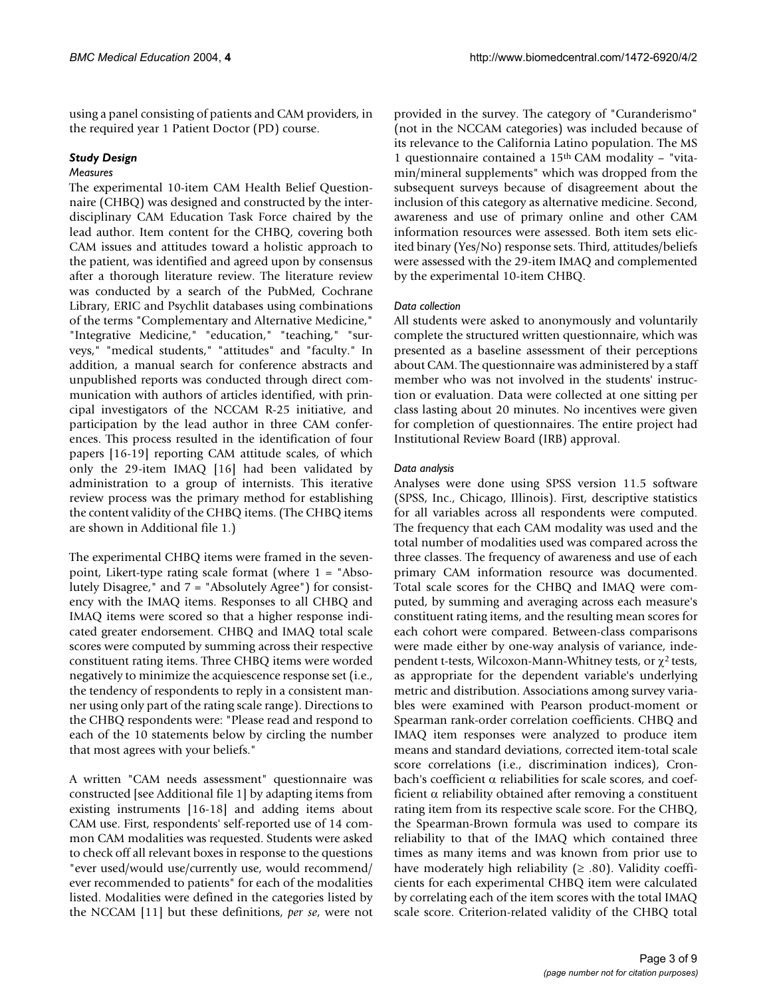using a panel consisting of patients and CAM providers, in the required year 1 Patient Doctor (PD) course.

### *Study Design*

#### *Measures*

The experimental 10-item CAM Health Belief Questionnaire (CHBQ) was designed and constructed by the interdisciplinary CAM Education Task Force chaired by the lead author. Item content for the CHBQ, covering both CAM issues and attitudes toward a holistic approach to the patient, was identified and agreed upon by consensus after a thorough literature review. The literature review was conducted by a search of the PubMed, Cochrane Library, ERIC and Psychlit databases using combinations of the terms "Complementary and Alternative Medicine," "Integrative Medicine," "education," "teaching," "surveys," "medical students," "attitudes" and "faculty." In addition, a manual search for conference abstracts and unpublished reports was conducted through direct communication with authors of articles identified, with principal investigators of the NCCAM R-25 initiative, and participation by the lead author in three CAM conferences. This process resulted in the identification of four papers [16-19] reporting CAM attitude scales, of which only the 29-item IMAQ [16] had been validated by administration to a group of internists. This iterative review process was the primary method for establishing the content validity of the CHBQ items. (The CHBQ items are shown in Additional file 1.)

The experimental CHBQ items were framed in the sevenpoint, Likert-type rating scale format (where 1 = "Absolutely Disagree," and 7 = "Absolutely Agree") for consistency with the IMAQ items. Responses to all CHBQ and IMAQ items were scored so that a higher response indicated greater endorsement. CHBQ and IMAQ total scale scores were computed by summing across their respective constituent rating items. Three CHBQ items were worded negatively to minimize the acquiescence response set (i.e., the tendency of respondents to reply in a consistent manner using only part of the rating scale range). Directions to the CHBQ respondents were: "Please read and respond to each of the 10 statements below by circling the number that most agrees with your beliefs."

A written "CAM needs assessment" questionnaire was constructed [see Additional file 1] by adapting items from existing instruments [16-18] and adding items about CAM use. First, respondents' self-reported use of 14 common CAM modalities was requested. Students were asked to check off all relevant boxes in response to the questions "ever used/would use/currently use, would recommend/ ever recommended to patients" for each of the modalities listed. Modalities were defined in the categories listed by the NCCAM [11] but these definitions, *per se*, were not

provided in the survey. The category of "Curanderismo" (not in the NCCAM categories) was included because of its relevance to the California Latino population. The MS 1 questionnaire contained a 15th CAM modality – "vitamin/mineral supplements" which was dropped from the subsequent surveys because of disagreement about the inclusion of this category as alternative medicine. Second, awareness and use of primary online and other CAM information resources were assessed. Both item sets elicited binary (Yes/No) response sets. Third, attitudes/beliefs were assessed with the 29-item IMAQ and complemented by the experimental 10-item CHBQ.

#### *Data collection*

All students were asked to anonymously and voluntarily complete the structured written questionnaire, which was presented as a baseline assessment of their perceptions about CAM. The questionnaire was administered by a staff member who was not involved in the students' instruction or evaluation. Data were collected at one sitting per class lasting about 20 minutes. No incentives were given for completion of questionnaires. The entire project had Institutional Review Board (IRB) approval.

#### *Data analysis*

Analyses were done using SPSS version 11.5 software (SPSS, Inc., Chicago, Illinois). First, descriptive statistics for all variables across all respondents were computed. The frequency that each CAM modality was used and the total number of modalities used was compared across the three classes. The frequency of awareness and use of each primary CAM information resource was documented. Total scale scores for the CHBQ and IMAQ were computed, by summing and averaging across each measure's constituent rating items, and the resulting mean scores for each cohort were compared. Between-class comparisons were made either by one-way analysis of variance, independent t-tests, Wilcoxon-Mann-Whitney tests, or  $\gamma^2$  tests, as appropriate for the dependent variable's underlying metric and distribution. Associations among survey variables were examined with Pearson product-moment or Spearman rank-order correlation coefficients. CHBQ and IMAQ item responses were analyzed to produce item means and standard deviations, corrected item-total scale score correlations (i.e., discrimination indices), Cronbach's coefficient α reliabilities for scale scores, and coefficient  $\alpha$  reliability obtained after removing a constituent rating item from its respective scale score. For the CHBQ, the Spearman-Brown formula was used to compare its reliability to that of the IMAQ which contained three times as many items and was known from prior use to have moderately high reliability  $(≥ .80)$ . Validity coefficients for each experimental CHBQ item were calculated by correlating each of the item scores with the total IMAQ scale score. Criterion-related validity of the CHBQ total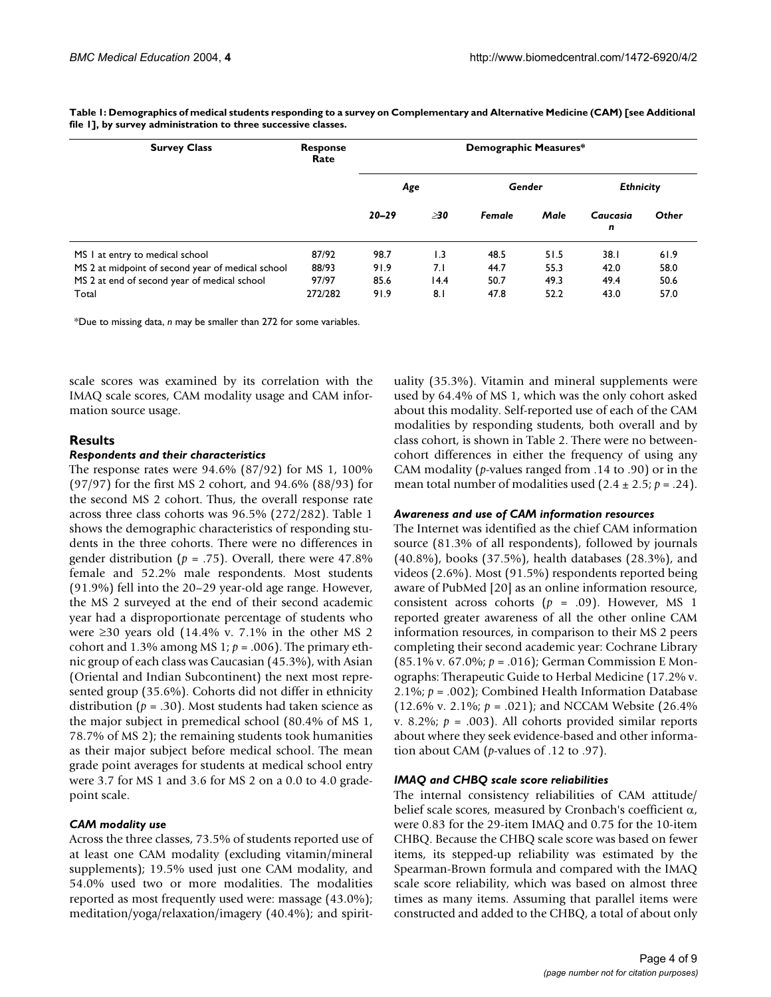| <b>Survey Class</b>                               | <b>Response</b><br>Rate | Demographic Measures* |                  |        |      |                  |       |
|---------------------------------------------------|-------------------------|-----------------------|------------------|--------|------|------------------|-------|
|                                                   |                         | Age                   |                  | Gender |      | <b>Ethnicity</b> |       |
|                                                   |                         | $20 - 29$             | >30              | Female | Male | Caucasia<br>n    | Other |
| MS I at entry to medical school                   | 87/92                   | 98.7                  | $\overline{1.3}$ | 48.5   | 51.5 | 38.I             | 61.9  |
| MS 2 at midpoint of second year of medical school | 88/93                   | 91.9                  | 7.1              | 44.7   | 55.3 | 42.0             | 58.0  |
| MS 2 at end of second year of medical school      | 97/97                   | 85.6                  | 14.4             | 50.7   | 49.3 | 49.4             | 50.6  |
| Total                                             | 272/282                 | 91.9                  | 8.1              | 47.8   | 52.2 | 43.0             | 57.0  |

**Table 1: Demographics of medical students responding to a survey on Complementary and Alternative Medicine (CAM) [see Additional file 1], by survey administration to three successive classes.**

\*Due to missing data, *n* may be smaller than 272 for some variables.

scale scores was examined by its correlation with the IMAQ scale scores, CAM modality usage and CAM information source usage.

### **Results**

#### *Respondents and their characteristics*

The response rates were 94.6% (87/92) for MS 1, 100% (97/97) for the first MS 2 cohort, and 94.6% (88/93) for the second MS 2 cohort. Thus, the overall response rate across three class cohorts was 96.5% (272/282). Table 1 shows the demographic characteristics of responding students in the three cohorts. There were no differences in gender distribution ( $p = .75$ ). Overall, there were 47.8% female and 52.2% male respondents. Most students (91.9%) fell into the 20–29 year-old age range. However, the MS 2 surveyed at the end of their second academic year had a disproportionate percentage of students who were  $\geq$ 30 years old (14.4% v. 7.1% in the other MS 2 cohort and 1.3% among MS 1;  $p = .006$ ). The primary ethnic group of each class was Caucasian (45.3%), with Asian (Oriental and Indian Subcontinent) the next most represented group (35.6%). Cohorts did not differ in ethnicity distribution ( $p = .30$ ). Most students had taken science as the major subject in premedical school (80.4% of MS 1, 78.7% of MS 2); the remaining students took humanities as their major subject before medical school. The mean grade point averages for students at medical school entry were 3.7 for MS 1 and 3.6 for MS 2 on a 0.0 to 4.0 gradepoint scale.

#### *CAM modality use*

Across the three classes, 73.5% of students reported use of at least one CAM modality (excluding vitamin/mineral supplements); 19.5% used just one CAM modality, and 54.0% used two or more modalities. The modalities reported as most frequently used were: massage (43.0%); meditation/yoga/relaxation/imagery (40.4%); and spirituality (35.3%). Vitamin and mineral supplements were used by 64.4% of MS 1, which was the only cohort asked about this modality. Self-reported use of each of the CAM modalities by responding students, both overall and by class cohort, is shown in Table [2.](#page-4-0) There were no betweencohort differences in either the frequency of using any CAM modality (*p*-values ranged from .14 to .90) or in the mean total number of modalities used  $(2.4 \pm 2.5; p = .24)$ .

#### *Awareness and use of CAM information resources*

The Internet was identified as the chief CAM information source (81.3% of all respondents), followed by journals (40.8%), books (37.5%), health databases (28.3%), and videos (2.6%). Most (91.5%) respondents reported being aware of PubMed [20] as an online information resource, consistent across cohorts (*p* = .09). However, MS 1 reported greater awareness of all the other online CAM information resources, in comparison to their MS 2 peers completing their second academic year: Cochrane Library (85.1% v. 67.0%; *p* = .016); German Commission E Monographs: Therapeutic Guide to Herbal Medicine (17.2% v. 2.1%; *p* = .002); Combined Health Information Database (12.6% v. 2.1%;  $p = .021$ ); and NCCAM Website (26.4%) v. 8.2%;  $p = .003$ ). All cohorts provided similar reports about where they seek evidence-based and other information about CAM (*p*-values of .12 to .97).

#### *IMAQ and CHBQ scale score reliabilities*

The internal consistency reliabilities of CAM attitude/ belief scale scores, measured by Cronbach's coefficient  $\alpha$ , were 0.83 for the 29-item IMAQ and 0.75 for the 10-item CHBQ. Because the CHBQ scale score was based on fewer items, its stepped-up reliability was estimated by the Spearman-Brown formula and compared with the IMAQ scale score reliability, which was based on almost three times as many items. Assuming that parallel items were constructed and added to the CHBQ, a total of about only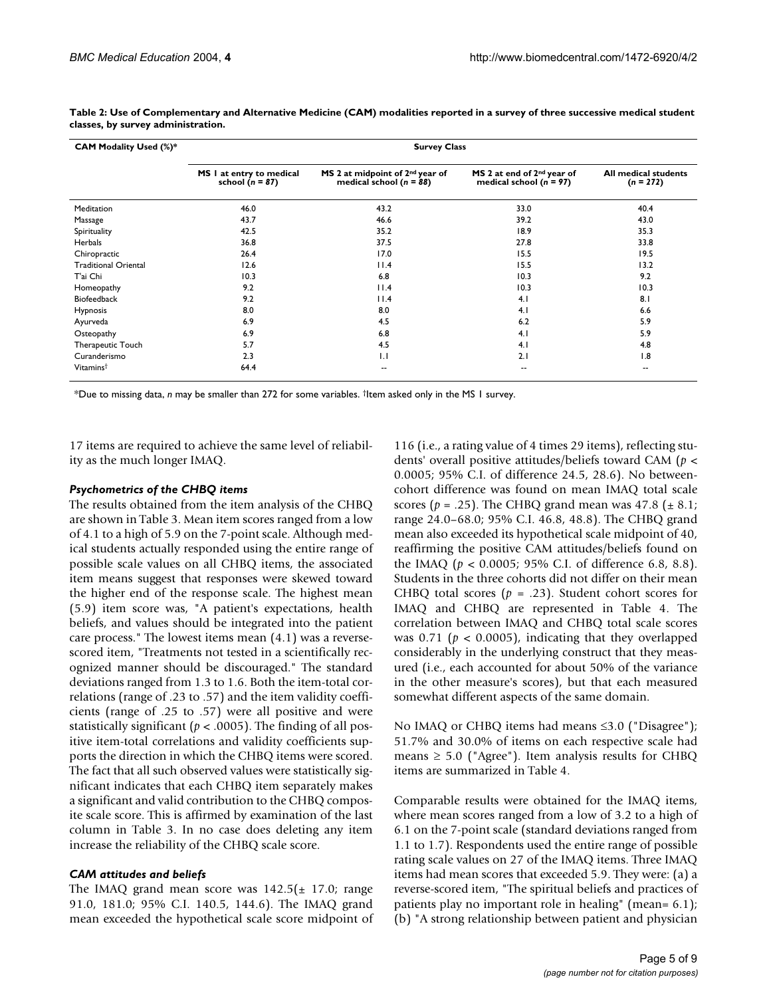| <b>CAM Modality Used (%)*</b> | <b>Survey Class</b>                             |                                                                            |                                                                       |                                            |  |  |  |
|-------------------------------|-------------------------------------------------|----------------------------------------------------------------------------|-----------------------------------------------------------------------|--------------------------------------------|--|--|--|
|                               | MS I at entry to medical<br>school ( $n = 87$ ) | MS 2 at midpoint of 2 <sup>nd</sup> year of<br>medical school ( $n = 88$ ) | MS 2 at end of 2 <sup>nd</sup> year of<br>medical school ( $n = 97$ ) | <b>All medical students</b><br>$(n = 272)$ |  |  |  |
| Meditation                    | 46.0                                            | 43.2                                                                       | 33.0                                                                  | 40.4                                       |  |  |  |
| Massage                       | 43.7                                            | 46.6                                                                       | 39.2                                                                  | 43.0                                       |  |  |  |
| Spirituality                  | 42.5                                            | 35.2                                                                       | 18.9                                                                  | 35.3                                       |  |  |  |
| <b>Herbals</b>                | 36.8                                            | 37.5                                                                       | 27.8                                                                  | 33.8                                       |  |  |  |
| Chiropractic                  | 26.4                                            | 17.0                                                                       | 15.5                                                                  | 19.5                                       |  |  |  |
| <b>Traditional Oriental</b>   | 12.6                                            | 11.4                                                                       | 15.5                                                                  | 13.2                                       |  |  |  |
| T'ai Chi                      | 10.3                                            | 6.8                                                                        | 10.3                                                                  | 9.2                                        |  |  |  |
| Homeopathy                    | 9.2                                             | 11.4                                                                       | 10.3                                                                  | 10.3                                       |  |  |  |
| <b>Biofeedback</b>            | 9.2                                             | 11.4                                                                       | 4.1                                                                   | 8.1                                        |  |  |  |
| <b>Hypnosis</b>               | 8.0                                             | 8.0                                                                        | 4.1                                                                   | 6.6                                        |  |  |  |
| Ayurveda                      | 6.9                                             | 4.5                                                                        | 6.2                                                                   | 5.9                                        |  |  |  |
| Osteopathy                    | 6.9                                             | 6.8                                                                        | 4.1                                                                   | 5.9                                        |  |  |  |
| Therapeutic Touch             | 5.7                                             | 4.5                                                                        | 4.1                                                                   | 4.8                                        |  |  |  |
| Curanderismo                  | 2.3                                             | 1.1                                                                        | 2.1                                                                   | 1.8                                        |  |  |  |
| Vitamins <sup>†</sup>         | 64.4                                            | $\overline{\phantom{a}}$                                                   | --                                                                    | --                                         |  |  |  |

<span id="page-4-0"></span>**Table 2: Use of Complementary and Alternative Medicine (CAM) modalities reported in a survey of three successive medical student classes, by survey administration.**

\*Due to missing data, *n* may be smaller than 272 for some variables. †Item asked only in the MS 1 survey.

17 items are required to achieve the same level of reliability as the much longer IMAQ.

#### *Psychometrics of the CHBQ items*

The results obtained from the item analysis of the CHBQ are shown in Table [3](#page-5-0). Mean item scores ranged from a low of 4.1 to a high of 5.9 on the 7-point scale. Although medical students actually responded using the entire range of possible scale values on all CHBQ items, the associated item means suggest that responses were skewed toward the higher end of the response scale. The highest mean (5.9) item score was, "A patient's expectations, health beliefs, and values should be integrated into the patient care process." The lowest items mean (4.1) was a reversescored item, "Treatments not tested in a scientifically recognized manner should be discouraged." The standard deviations ranged from 1.3 to 1.6. Both the item-total correlations (range of .23 to .57) and the item validity coefficients (range of .25 to .57) were all positive and were statistically significant ( $p < .0005$ ). The finding of all positive item-total correlations and validity coefficients supports the direction in which the CHBQ items were scored. The fact that all such observed values were statistically significant indicates that each CHBQ item separately makes a significant and valid contribution to the CHBQ composite scale score. This is affirmed by examination of the last column in Table [3.](#page-5-0) In no case does deleting any item increase the reliability of the CHBQ scale score.

#### *CAM attitudes and beliefs*

The IMAQ grand mean score was  $142.5(\pm 17.0; \text{range})$ 91.0, 181.0; 95% C.I. 140.5, 144.6). The IMAQ grand mean exceeded the hypothetical scale score midpoint of 116 (i.e., a rating value of 4 times 29 items), reflecting students' overall positive attitudes/beliefs toward CAM (*p* < 0.0005; 95% C.I. of difference 24.5, 28.6). No betweencohort difference was found on mean IMAQ total scale scores ( $p = .25$ ). The CHBQ grand mean was 47.8 ( $\pm$  8.1; range 24.0–68.0; 95% C.I. 46.8, 48.8). The CHBQ grand mean also exceeded its hypothetical scale midpoint of 40, reaffirming the positive CAM attitudes/beliefs found on the IMAQ (*p* < 0.0005; 95% C.I. of difference 6.8, 8.8). Students in the three cohorts did not differ on their mean CHBQ total scores ( $p = .23$ ). Student cohort scores for IMAQ and CHBQ are represented in Table [4](#page-6-0). The correlation between IMAQ and CHBQ total scale scores was 0.71 (*p* < 0.0005), indicating that they overlapped considerably in the underlying construct that they measured (i.e., each accounted for about 50% of the variance in the other measure's scores), but that each measured somewhat different aspects of the same domain.

No IMAQ or CHBQ items had means ≤3.0 ("Disagree"); 51.7% and 30.0% of items on each respective scale had means  $\geq 5.0$  ("Agree"). Item analysis results for CHBQ items are summarized in Table [4](#page-6-0).

Comparable results were obtained for the IMAQ items, where mean scores ranged from a low of 3.2 to a high of 6.1 on the 7-point scale (standard deviations ranged from 1.1 to 1.7). Respondents used the entire range of possible rating scale values on 27 of the IMAQ items. Three IMAQ items had mean scores that exceeded 5.9. They were: (a) a reverse-scored item, "The spiritual beliefs and practices of patients play no important role in healing" (mean= 6.1); (b) "A strong relationship between patient and physician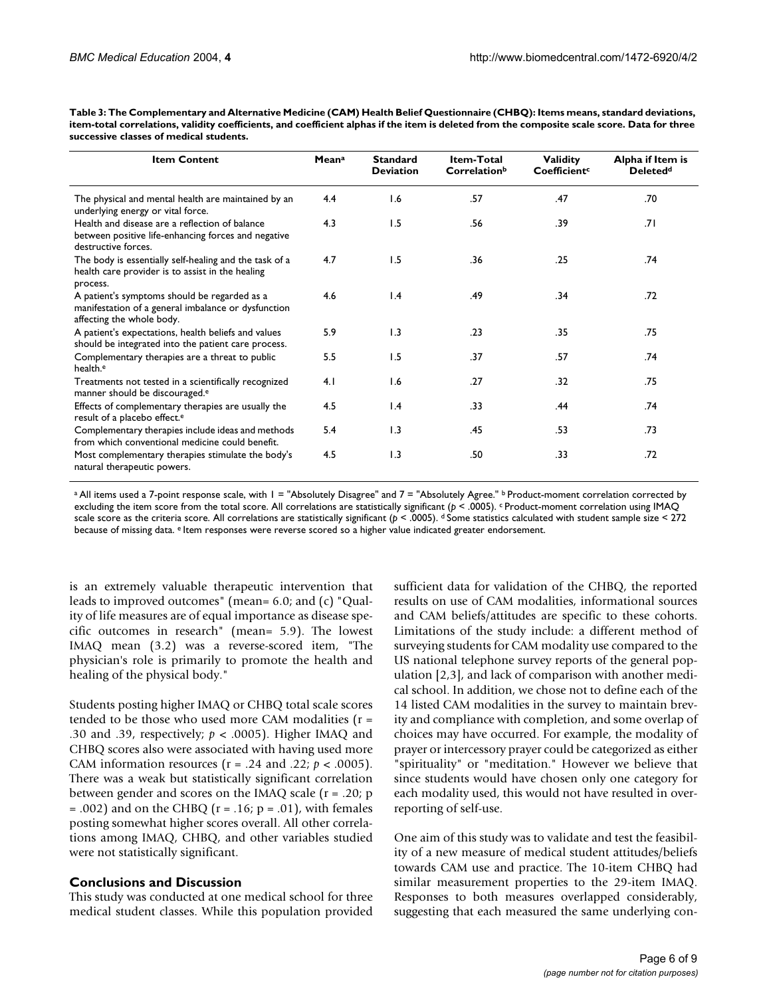<span id="page-5-0"></span>

| Table 3: The Complementary and Alternative Medicine (CAM) Health Belief Questionnaire (CHBQ): Items means, standard deviations,              |
|----------------------------------------------------------------------------------------------------------------------------------------------|
| item-total correlations, validity coefficients, and coefficient alphas if the item is deleted from the composite scale score. Data for three |
| successive classes of medical students.                                                                                                      |

| <b>Item Content</b>                                                                                                              | Meana | <b>Standard</b><br><b>Deviation</b> | Item-Total<br>Correlationb | <b>Validity</b><br>Coefficient <sup>c</sup> | Alpha if Item is<br><b>Deletedd</b> |
|----------------------------------------------------------------------------------------------------------------------------------|-------|-------------------------------------|----------------------------|---------------------------------------------|-------------------------------------|
| The physical and mental health are maintained by an<br>underlying energy or vital force.                                         | 4.4   | 1.6                                 | .57                        | .47                                         | .70                                 |
| Health and disease are a reflection of balance<br>between positive life-enhancing forces and negative<br>destructive forces.     | 4.3   | 1.5                                 | .56                        | .39                                         | .71                                 |
| The body is essentially self-healing and the task of a<br>health care provider is to assist in the healing<br>process.           | 4.7   | 1.5                                 | .36                        | .25                                         | .74                                 |
| A patient's symptoms should be regarded as a<br>manifestation of a general imbalance or dysfunction<br>affecting the whole body. | 4.6   | $\mathsf{I}$ .4                     | .49                        | .34                                         | .72                                 |
| A patient's expectations, health beliefs and values<br>should be integrated into the patient care process.                       | 5.9   | 1.3                                 | .23                        | .35                                         | .75                                 |
| Complementary therapies are a threat to public<br>health. <sup>e</sup>                                                           | 5.5   | 1.5                                 | .37                        | .57                                         | .74                                 |
| Treatments not tested in a scientifically recognized<br>manner should be discouraged. <sup>e</sup>                               | 4.1   | 1.6                                 | .27                        | .32                                         | .75                                 |
| Effects of complementary therapies are usually the<br>result of a placebo effect. <sup>e</sup>                                   | 4.5   | 1.4                                 | .33                        | .44                                         | .74                                 |
| Complementary therapies include ideas and methods<br>from which conventional medicine could benefit.                             | 5.4   | 1.3                                 | .45                        | .53                                         | .73                                 |
| Most complementary therapies stimulate the body's<br>natural therapeutic powers.                                                 | 4.5   | 1.3                                 | .50                        | .33                                         | .72                                 |

a All items used a 7-point response scale, with 1 = "Absolutely Disagree" and 7 = "Absolutely Agree." **b** Product-moment correlation corrected by excluding the item score from the total score. All correlations are statistically significant (*p* < .0005). c Product-moment correlation using IMAQ scale score as the criteria score. All correlations are statistically significant ( $p < .0005$ ). <sup>d</sup> Some statistics calculated with student sample size < 272 because of missing data. e Item responses were reverse scored so a higher value indicated greater endorsement.

is an extremely valuable therapeutic intervention that leads to improved outcomes" (mean= 6.0; and (c) "Quality of life measures are of equal importance as disease specific outcomes in research" (mean= 5.9). The lowest IMAQ mean (3.2) was a reverse-scored item, "The physician's role is primarily to promote the health and healing of the physical body."

Students posting higher IMAQ or CHBQ total scale scores tended to be those who used more CAM modalities (r = .30 and .39, respectively; *p* < .0005). Higher IMAQ and CHBQ scores also were associated with having used more CAM information resources (r = .24 and .22; *p* < .0005). There was a weak but statistically significant correlation between gender and scores on the IMAQ scale (r = .20; p  $= .002$ ) and on the CHBQ ( $r = .16$ ;  $p = .01$ ), with females posting somewhat higher scores overall. All other correlations among IMAQ, CHBQ, and other variables studied were not statistically significant.

### **Conclusions and Discussion**

This study was conducted at one medical school for three medical student classes. While this population provided sufficient data for validation of the CHBQ, the reported results on use of CAM modalities, informational sources and CAM beliefs/attitudes are specific to these cohorts. Limitations of the study include: a different method of surveying students for CAM modality use compared to the US national telephone survey reports of the general population [2,3], and lack of comparison with another medical school. In addition, we chose not to define each of the 14 listed CAM modalities in the survey to maintain brevity and compliance with completion, and some overlap of choices may have occurred. For example, the modality of prayer or intercessory prayer could be categorized as either "spirituality" or "meditation." However we believe that since students would have chosen only one category for each modality used, this would not have resulted in overreporting of self-use.

One aim of this study was to validate and test the feasibility of a new measure of medical student attitudes/beliefs towards CAM use and practice. The 10-item CHBQ had similar measurement properties to the 29-item IMAQ. Responses to both measures overlapped considerably, suggesting that each measured the same underlying con-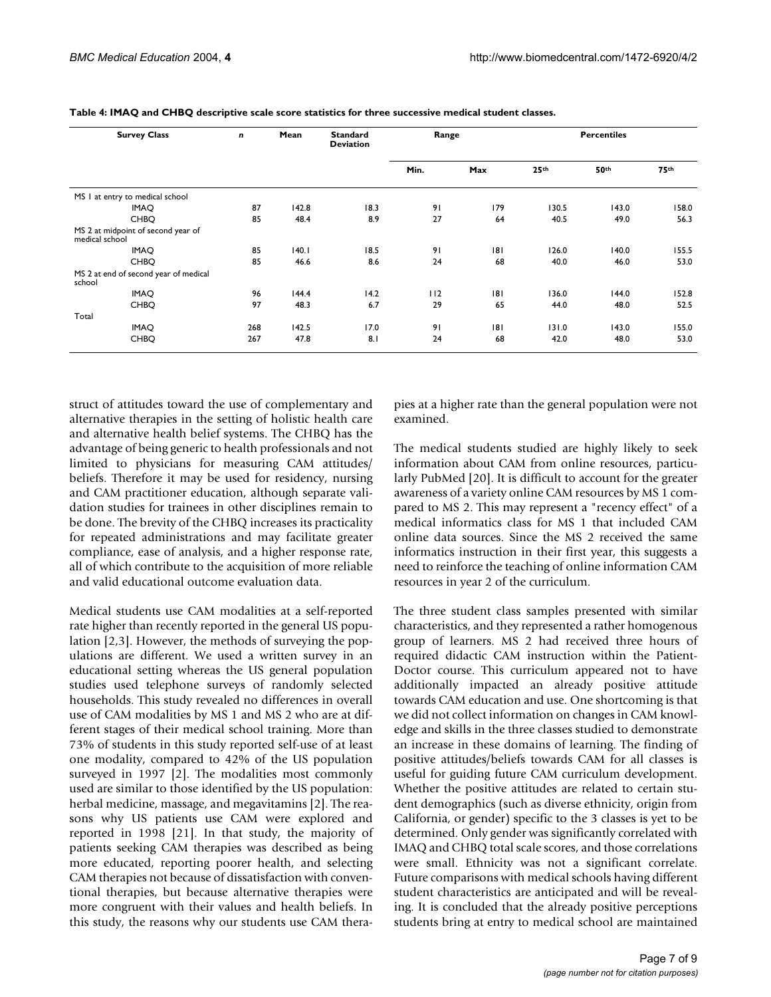| <b>Survey Class</b><br>n                             |     | Mean  | <b>Standard</b><br><b>Deviation</b> | Range |                  | <b>Percentiles</b> |                  |       |
|------------------------------------------------------|-----|-------|-------------------------------------|-------|------------------|--------------------|------------------|-------|
|                                                      |     |       | Min.                                | Max   | 25 <sup>th</sup> | 50th               | 75 <sup>th</sup> |       |
| MS I at entry to medical school                      |     |       |                                     |       |                  |                    |                  |       |
| <b>IMAQ</b>                                          | 87  | 142.8 | 18.3                                | 91    | 179              | 130.5              | 143.0            | 158.0 |
| <b>CHBO</b>                                          | 85  | 48.4  | 8.9                                 | 27    | 64               | 40.5               | 49.0             | 56.3  |
| MS 2 at midpoint of second year of<br>medical school |     |       |                                     |       |                  |                    |                  |       |
| <b>IMAQ</b>                                          | 85  | 140.1 | 18.5                                | 91    | 8                | 126.0              | 140.0            | 155.5 |
| <b>CHBO</b>                                          | 85  | 46.6  | 8.6                                 | 24    | 68               | 40.0               | 46.0             | 53.0  |
| MS 2 at end of second year of medical<br>school      |     |       |                                     |       |                  |                    |                  |       |
| <b>IMAQ</b>                                          | 96  | 144.4 | 14.2                                | 112   | 8                | 136.0              | 144.0            | 152.8 |
| <b>CHBO</b>                                          | 97  | 48.3  | 6.7                                 | 29    | 65               | 44.0               | 48.0             | 52.5  |
| Total                                                |     |       |                                     |       |                  |                    |                  |       |
| <b>IMAQ</b>                                          | 268 | 142.5 | 17.0                                | 91    | 8                | 131.0              | 143.0            | 155.0 |
| <b>CHBO</b>                                          | 267 | 47.8  | 8.1                                 | 24    | 68               | 42.0               | 48.0             | 53.0  |

<span id="page-6-0"></span>**Table 4: IMAQ and CHBQ descriptive scale score statistics for three successive medical student classes.**

struct of attitudes toward the use of complementary and alternative therapies in the setting of holistic health care and alternative health belief systems. The CHBQ has the advantage of being generic to health professionals and not limited to physicians for measuring CAM attitudes/ beliefs. Therefore it may be used for residency, nursing and CAM practitioner education, although separate validation studies for trainees in other disciplines remain to be done. The brevity of the CHBQ increases its practicality for repeated administrations and may facilitate greater compliance, ease of analysis, and a higher response rate, all of which contribute to the acquisition of more reliable and valid educational outcome evaluation data.

Medical students use CAM modalities at a self-reported rate higher than recently reported in the general US population [2,3]. However, the methods of surveying the populations are different. We used a written survey in an educational setting whereas the US general population studies used telephone surveys of randomly selected households. This study revealed no differences in overall use of CAM modalities by MS 1 and MS 2 who are at different stages of their medical school training. More than 73% of students in this study reported self-use of at least one modality, compared to 42% of the US population surveyed in 1997 [2]. The modalities most commonly used are similar to those identified by the US population: herbal medicine, massage, and megavitamins [2]. The reasons why US patients use CAM were explored and reported in 1998 [21]. In that study, the majority of patients seeking CAM therapies was described as being more educated, reporting poorer health, and selecting CAM therapies not because of dissatisfaction with conventional therapies, but because alternative therapies were more congruent with their values and health beliefs. In this study, the reasons why our students use CAM therapies at a higher rate than the general population were not examined.

The medical students studied are highly likely to seek information about CAM from online resources, particularly PubMed [20]. It is difficult to account for the greater awareness of a variety online CAM resources by MS 1 compared to MS 2. This may represent a "recency effect" of a medical informatics class for MS 1 that included CAM online data sources. Since the MS 2 received the same informatics instruction in their first year, this suggests a need to reinforce the teaching of online information CAM resources in year 2 of the curriculum.

The three student class samples presented with similar characteristics, and they represented a rather homogenous group of learners. MS 2 had received three hours of required didactic CAM instruction within the Patient-Doctor course. This curriculum appeared not to have additionally impacted an already positive attitude towards CAM education and use. One shortcoming is that we did not collect information on changes in CAM knowledge and skills in the three classes studied to demonstrate an increase in these domains of learning. The finding of positive attitudes/beliefs towards CAM for all classes is useful for guiding future CAM curriculum development. Whether the positive attitudes are related to certain student demographics (such as diverse ethnicity, origin from California, or gender) specific to the 3 classes is yet to be determined. Only gender was significantly correlated with IMAQ and CHBQ total scale scores, and those correlations were small. Ethnicity was not a significant correlate. Future comparisons with medical schools having different student characteristics are anticipated and will be revealing. It is concluded that the already positive perceptions students bring at entry to medical school are maintained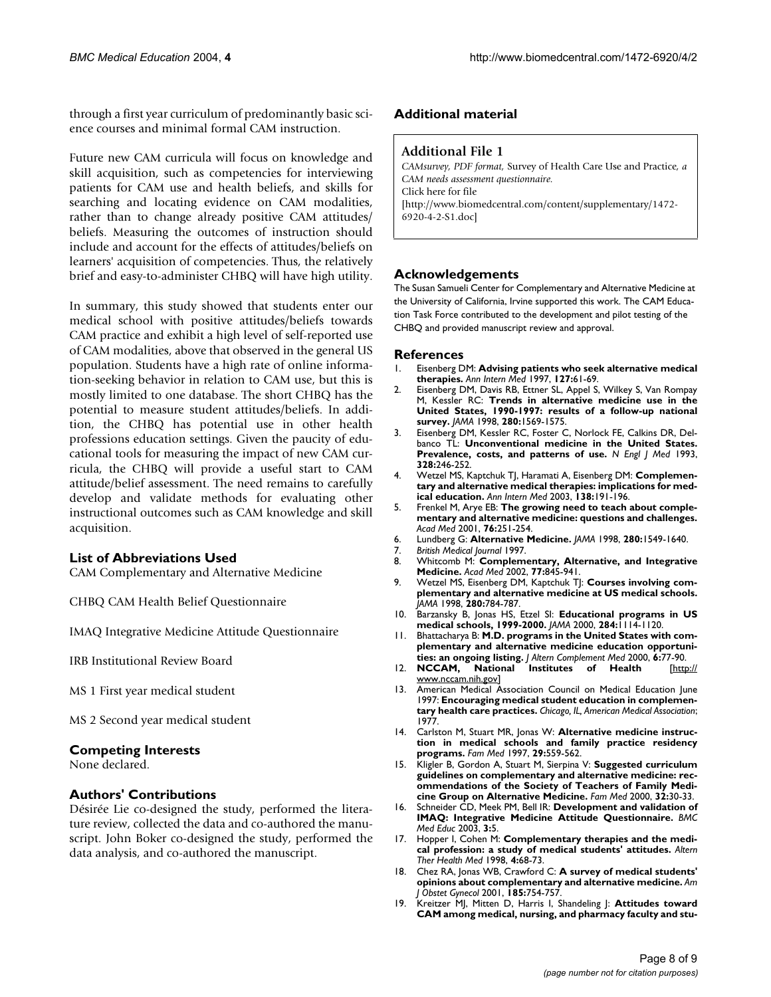through a first year curriculum of predominantly basic science courses and minimal formal CAM instruction.

Future new CAM curricula will focus on knowledge and skill acquisition, such as competencies for interviewing patients for CAM use and health beliefs, and skills for searching and locating evidence on CAM modalities, rather than to change already positive CAM attitudes/ beliefs. Measuring the outcomes of instruction should include and account for the effects of attitudes/beliefs on learners' acquisition of competencies. Thus, the relatively brief and easy-to-administer CHBQ will have high utility.

In summary, this study showed that students enter our medical school with positive attitudes/beliefs towards CAM practice and exhibit a high level of self-reported use of CAM modalities, above that observed in the general US population. Students have a high rate of online information-seeking behavior in relation to CAM use, but this is mostly limited to one database. The short CHBQ has the potential to measure student attitudes/beliefs. In addition, the CHBQ has potential use in other health professions education settings. Given the paucity of educational tools for measuring the impact of new CAM curricula, the CHBQ will provide a useful start to CAM attitude/belief assessment. The need remains to carefully develop and validate methods for evaluating other instructional outcomes such as CAM knowledge and skill acquisition.

### **List of Abbreviations Used**

CAM Complementary and Alternative Medicine

CHBQ CAM Health Belief Questionnaire

IMAQ Integrative Medicine Attitude Questionnaire

IRB Institutional Review Board

MS 1 First year medical student

MS 2 Second year medical student

#### **Competing Interests**

None declared.

#### **Authors' Contributions**

Désirée Lie co-designed the study, performed the literature review, collected the data and co-authored the manuscript. John Boker co-designed the study, performed the data analysis, and co-authored the manuscript.

#### **Additional material**

#### **Additional File 1**

*CAMsurvey, PDF format,* Survey of Health Care Use and Practice*, a CAM needs assessment questionnaire.* Click here for file [\[http://www.biomedcentral.com/content/supplementary/1472-](http://www.biomedcentral.com/content/supplementary/1472-6920-4-2-S1.doc) 6920-4-2-S1.doc]

#### **Acknowledgements**

The Susan Samueli Center for Complementary and Alternative Medicine at the University of California, Irvine supported this work. The CAM Education Task Force contributed to the development and pilot testing of the CHBQ and provided manuscript review and approval.

#### **References**

- 1. Eisenberg DM: **[Advising patients who seek alternative medical](http://www.ncbi.nlm.nih.gov/entrez/query.fcgi?cmd=Retrieve&db=PubMed&dopt=Abstract&list_uids=9214254) [therapies.](http://www.ncbi.nlm.nih.gov/entrez/query.fcgi?cmd=Retrieve&db=PubMed&dopt=Abstract&list_uids=9214254)** *Ann Intern Med* 1997, **127:**61-69.
- 2. Eisenberg DM, Davis RB, Ettner SL, Appel S, Wilkey S, Van Rompay M, Kessler RC: **[Trends in alternative medicine use in the](http://www.ncbi.nlm.nih.gov/entrez/query.fcgi?cmd=Retrieve&db=PubMed&dopt=Abstract&list_uids=10.1001/jama.280.18.1569) [United States, 1990-1997: results of a follow-up national](http://www.ncbi.nlm.nih.gov/entrez/query.fcgi?cmd=Retrieve&db=PubMed&dopt=Abstract&list_uids=10.1001/jama.280.18.1569) [survey](http://www.ncbi.nlm.nih.gov/entrez/query.fcgi?cmd=Retrieve&db=PubMed&dopt=Abstract&list_uids=10.1001/jama.280.18.1569)[.](http://www.ncbi.nlm.nih.gov/entrez/query.fcgi?cmd=Retrieve&db=PubMed&dopt=Abstract&list_uids=9820257)** *JAMA* 1998, **280:**1569-1575.
- 3. Eisenberg DM, Kessler RC, Foster C, Norlock FE, Calkins DR, Delbanco TL: **[Unconventional medicine in the United States.](http://www.ncbi.nlm.nih.gov/entrez/query.fcgi?cmd=Retrieve&db=PubMed&dopt=Abstract&list_uids=10.1056/NEJM199301283280406) [Prevalence, costs, and patterns of use](http://www.ncbi.nlm.nih.gov/entrez/query.fcgi?cmd=Retrieve&db=PubMed&dopt=Abstract&list_uids=10.1056/NEJM199301283280406)[.](http://www.ncbi.nlm.nih.gov/entrez/query.fcgi?cmd=Retrieve&db=PubMed&dopt=Abstract&list_uids=8418405)** *N Engl J Med* 1993, **328:**246-252.
- 4. Wetzel MS, Kaptchuk TJ, Haramati A, Eisenberg DM: **[Complemen](http://www.ncbi.nlm.nih.gov/entrez/query.fcgi?cmd=Retrieve&db=PubMed&dopt=Abstract&list_uids=12558358)[tary and alternative medical therapies: implications for med](http://www.ncbi.nlm.nih.gov/entrez/query.fcgi?cmd=Retrieve&db=PubMed&dopt=Abstract&list_uids=12558358)[ical education.](http://www.ncbi.nlm.nih.gov/entrez/query.fcgi?cmd=Retrieve&db=PubMed&dopt=Abstract&list_uids=12558358)** *Ann Intern Med* 2003, **138:**191-196.
- 5. Frenkel M, Arye EB: **[The growing need to teach about comple](http://www.ncbi.nlm.nih.gov/entrez/query.fcgi?cmd=Retrieve&db=PubMed&dopt=Abstract&list_uids=11242575)[mentary and alternative medicine: questions and challenges.](http://www.ncbi.nlm.nih.gov/entrez/query.fcgi?cmd=Retrieve&db=PubMed&dopt=Abstract&list_uids=11242575)** *Acad Med* 2001, **76:**251-254.
- 6. Lundberg G: **Alternative Medicine.** *JAMA* 1998, **280:**1549-1640.
- 7. *British Medical Journal* 1997.
- 8. Whitcomb M: **[Complementary, Alternative, and Integrative](http://www.ncbi.nlm.nih.gov/entrez/query.fcgi?cmd=Retrieve&db=PubMed&dopt=Abstract&list_uids=12228070) [Medicine.](http://www.ncbi.nlm.nih.gov/entrez/query.fcgi?cmd=Retrieve&db=PubMed&dopt=Abstract&list_uids=12228070)** *Acad Med* 2002, **77:**845-941.
- 9. Wetzel MS, Eisenberg DM, Kaptchuk TJ: **[Courses involving com](http://www.ncbi.nlm.nih.gov/entrez/query.fcgi?cmd=Retrieve&db=PubMed&dopt=Abstract&list_uids=10.1001/jama.280.9.784)[plementary and alternative medicine at US medical schools](http://www.ncbi.nlm.nih.gov/entrez/query.fcgi?cmd=Retrieve&db=PubMed&dopt=Abstract&list_uids=10.1001/jama.280.9.784)[.](http://www.ncbi.nlm.nih.gov/entrez/query.fcgi?cmd=Retrieve&db=PubMed&dopt=Abstract&list_uids=9729989)** *JAMA* 1998, **280:**784-787.
- 10. Barzansky B, Jonas HS, Etzel SI: **[Educational programs in US](http://www.ncbi.nlm.nih.gov/entrez/query.fcgi?cmd=Retrieve&db=PubMed&dopt=Abstract&list_uids=10.1001/jama.284.9.1114) [medical schools, 1999-2000](http://www.ncbi.nlm.nih.gov/entrez/query.fcgi?cmd=Retrieve&db=PubMed&dopt=Abstract&list_uids=10.1001/jama.284.9.1114)[.](http://www.ncbi.nlm.nih.gov/entrez/query.fcgi?cmd=Retrieve&db=PubMed&dopt=Abstract&list_uids=10974691)** *JAMA* 2000, **284:**1114-1120.
- 11. Bhattacharya B: **[M.D. programs in the United States with com](http://www.ncbi.nlm.nih.gov/entrez/query.fcgi?cmd=Retrieve&db=PubMed&dopt=Abstract&list_uids=10706240)[plementary and alternative medicine education opportuni-](http://www.ncbi.nlm.nih.gov/entrez/query.fcgi?cmd=Retrieve&db=PubMed&dopt=Abstract&list_uids=10706240)**
- **[ties: an ongoing listing.](http://www.ncbi.nlm.nih.gov/entrez/query.fcgi?cmd=Retrieve&db=PubMed&dopt=Abstract&list_uids=10706240)** *J Altern Complement Med* 2000, **6:**77-90. 12. **NCCAM, National Institutes of Health** [\[http://](http://www.nccam.nih.gov) [www.nccam.nih.gov](http://www.nccam.nih.gov)]
- 13. American Medical Association Council on Medical Education June 1997: **Encouraging medical student education in complementary health care practices.** *Chicago, IL, American Medical Association*; 1977.
- 14. Carlston M, Stuart MR, Jonas W: **[Alternative medicine instruc](http://www.ncbi.nlm.nih.gov/entrez/query.fcgi?cmd=Retrieve&db=PubMed&dopt=Abstract&list_uids=9310753)[tion in medical schools and family practice residency](http://www.ncbi.nlm.nih.gov/entrez/query.fcgi?cmd=Retrieve&db=PubMed&dopt=Abstract&list_uids=9310753) [programs.](http://www.ncbi.nlm.nih.gov/entrez/query.fcgi?cmd=Retrieve&db=PubMed&dopt=Abstract&list_uids=9310753)** *Fam Med* 1997, **29:**559-562.
- 15. Kligler B, Gordon A, Stuart M, Sierpina V: **[Suggested curriculum](http://www.ncbi.nlm.nih.gov/entrez/query.fcgi?cmd=Retrieve&db=PubMed&dopt=Abstract&list_uids=10645511) [guidelines on complementary and alternative medicine: rec](http://www.ncbi.nlm.nih.gov/entrez/query.fcgi?cmd=Retrieve&db=PubMed&dopt=Abstract&list_uids=10645511)ommendations of the Society of Teachers of Family Medi[cine Group on Alternative Medicine.](http://www.ncbi.nlm.nih.gov/entrez/query.fcgi?cmd=Retrieve&db=PubMed&dopt=Abstract&list_uids=10645511)** *Fam Med* 2000, **32:**30-33.
- 16. Schneider CD, Meek PM, Bell IR: **[Development and validation of](http://www.ncbi.nlm.nih.gov/entrez/query.fcgi?cmd=Retrieve&db=PubMed&dopt=Abstract&list_uids=200993) [IMAQ: Integrative Medicine Attitude Questionnaire](http://www.ncbi.nlm.nih.gov/entrez/query.fcgi?cmd=Retrieve&db=PubMed&dopt=Abstract&list_uids=200993)[.](http://www.ncbi.nlm.nih.gov/entrez/query.fcgi?cmd=Retrieve&db=PubMed&dopt=Abstract&list_uids=10.1186/1472-6920-3-5)** *BMC Med Educ* 2003, **3:**5.
- 17. Hopper I, Cohen M: **[Complementary therapies and the medi](http://www.ncbi.nlm.nih.gov/entrez/query.fcgi?cmd=Retrieve&db=PubMed&dopt=Abstract&list_uids=9581323)[cal profession: a study of medical students' attitudes.](http://www.ncbi.nlm.nih.gov/entrez/query.fcgi?cmd=Retrieve&db=PubMed&dopt=Abstract&list_uids=9581323)** *Altern Ther Health Med* 1998, **4:**68-73.
- 18. Chez RA, Jonas WB, Crawford C: **[A survey of medical students'](http://www.ncbi.nlm.nih.gov/entrez/query.fcgi?cmd=Retrieve&db=PubMed&dopt=Abstract&list_uids=10.1067/mob.2001.117484) [opinions about complementary and alternative medicine](http://www.ncbi.nlm.nih.gov/entrez/query.fcgi?cmd=Retrieve&db=PubMed&dopt=Abstract&list_uids=10.1067/mob.2001.117484)[.](http://www.ncbi.nlm.nih.gov/entrez/query.fcgi?cmd=Retrieve&db=PubMed&dopt=Abstract&list_uids=11568810)** *Am J Obstet Gynecol* 2001, **185:**754-757.
- 19. Kreitzer MJ, Mitten D, Harris I, Shandeling J: **[Attitudes toward](http://www.ncbi.nlm.nih.gov/entrez/query.fcgi?cmd=Retrieve&db=PubMed&dopt=Abstract&list_uids=12440838) [CAM among medical, nursing, and pharmacy faculty and stu](http://www.ncbi.nlm.nih.gov/entrez/query.fcgi?cmd=Retrieve&db=PubMed&dopt=Abstract&list_uids=12440838)-**